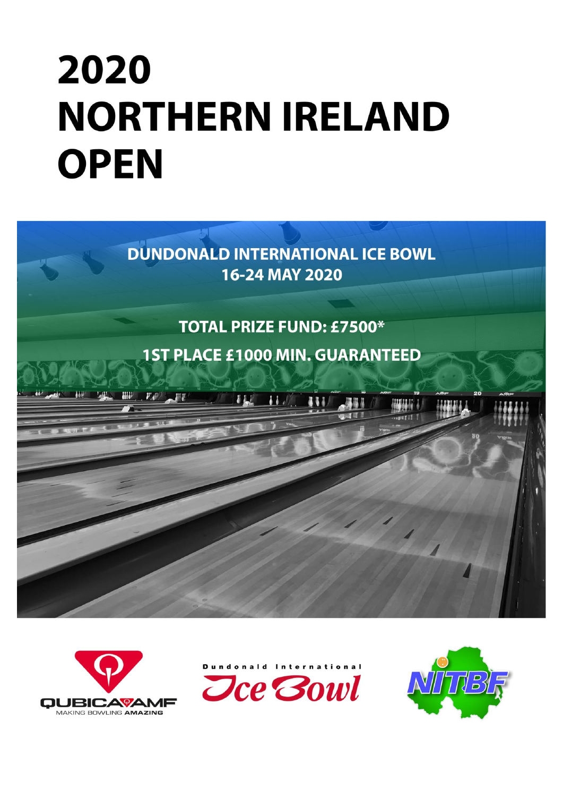# 2020 **NORTHERN IRELAND OPEN**